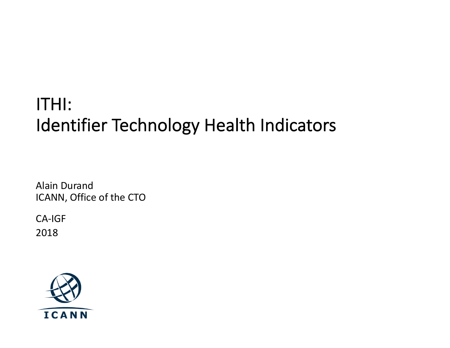### ITHI: Identifier Technology Health Indicators

Alain Durand ICANN, Office of the CTO

CA-IGF 2018

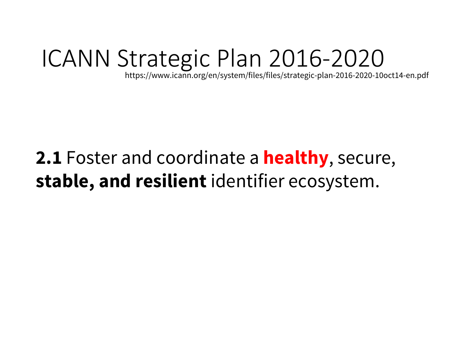## ICANN Strategic Plan 2016-2020

https://www.icann.org/en/system/files/files/strategic-plan-2016-2020-10oct14-en.pdf

### **2.1** Foster and coordinate a **healthy**, secure, **stable, and resilient** identifier ecosystem.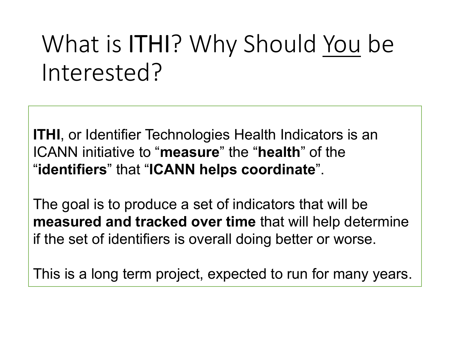# What is ITHI? Why Should You be Interested?

**ITHI**, or Identifier Technologies Health Indicators is an ICANN initiative to "**measure**" the "**health**" of the "**identifiers**" that "**ICANN helps coordinate**".

The goal is to produce a set of indicators that will be **measured and tracked over time** that will help determine if the set of identifiers is overall doing better or worse.

This is a long term project, expected to run for many years.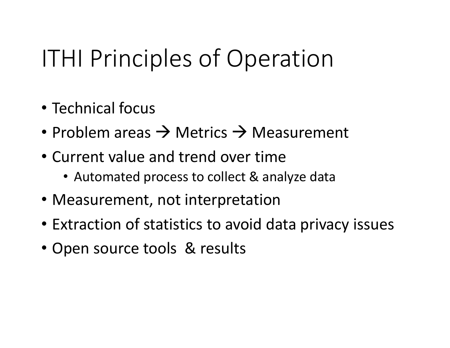# ITHI Principles of Operation

- Technical focus
- Problem areas  $\rightarrow$  Metrics  $\rightarrow$  Measurement
- Current value and trend over time
	- Automated process to collect & analyze data
- Measurement, not interpretation
- Extraction of statistics to avoid data privacy issues
- Open source tools & results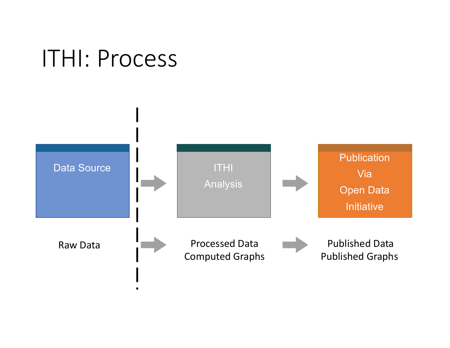## ITHI: Process

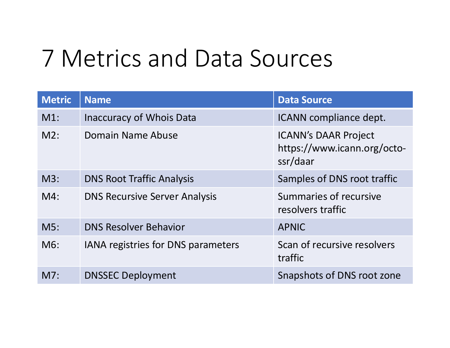## 7 Metrics and Data Sources

| <b>Metric</b> | <b>Name</b>                               | <b>Data Source</b>                                                     |
|---------------|-------------------------------------------|------------------------------------------------------------------------|
| $M1$ :        | <b>Inaccuracy of Whois Data</b>           | ICANN compliance dept.                                                 |
| $M2$ :        | Domain Name Abuse                         | <b>ICANN's DAAR Project</b><br>https://www.icann.org/octo-<br>ssr/daar |
| $M3$ :        | <b>DNS Root Traffic Analysis</b>          | Samples of DNS root traffic                                            |
| $M4$ :        | <b>DNS Recursive Server Analysis</b>      | Summaries of recursive<br>resolvers traffic                            |
| M5:           | <b>DNS Resolver Behavior</b>              | <b>APNIC</b>                                                           |
| $M6$ :        | <b>IANA registries for DNS parameters</b> | Scan of recursive resolvers<br>traffic                                 |
| M7:           | <b>DNSSEC Deployment</b>                  | Snapshots of DNS root zone                                             |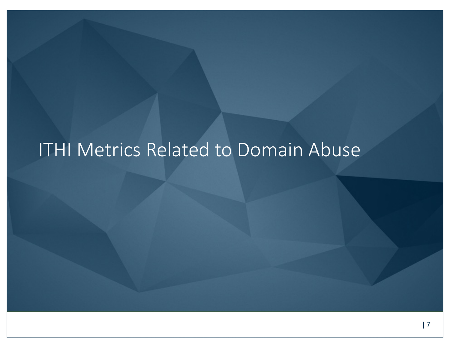## ITHI Metrics Related to Domain Abuse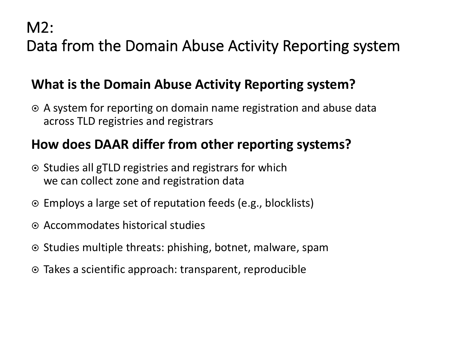M2:

Data from the Domain Abuse Activity Reporting system

#### **What is the Domain Abuse Activity Reporting system?**

⊙ A system for reporting on domain name registration and abuse data across TLD registries and registrars

#### **How does DAAR differ from other reporting systems?**

- Studies all gTLD registries and registrars for which we can collect zone and registration data
- ⊙ Employs a large set of reputation feeds (e.g., blocklists)
- ¤ Accommodates historical studies
- **■** Studies multiple threats: phishing, botnet, malware, spam
- $\odot$  Takes a scientific approach: transparent, reproducible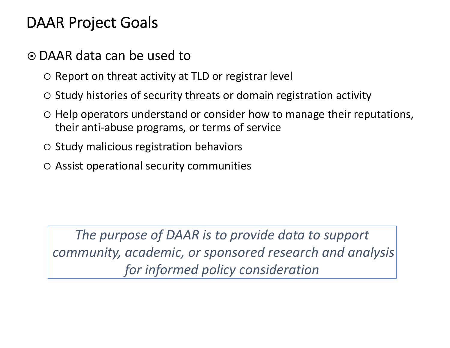### DAAR Project Goals

#### ¤ DAAR data can be used to

- $\circ$  Report on threat activity at TLD or registrar level
- $\circ$  Study histories of security threats or domain registration activity
- $\circ$  Help operators understand or consider how to manage their reputations, their anti-abuse programs, or terms of service
- $\circ$  Study malicious registration behaviors
- $\circ$  Assist operational security communities

*The purpose of DAAR is to provide data to support community, academic, or sponsored research and analysis for informed policy consideration*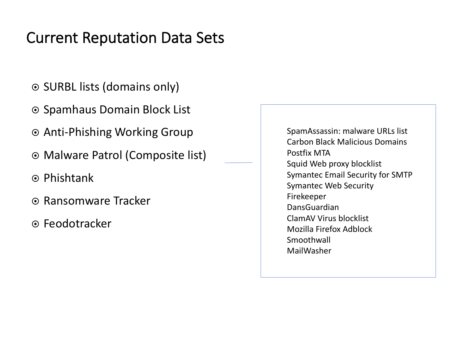### Current Reputation Data Sets

- ◎ SURBL lists (domains only)
- **Spamhaus Domain Block List**
- ◎ Anti-Phishing Working Group
- ◎ Malware Patrol (Composite list)
- Phishtank
- ® Ransomware Tracker
- ¤ Feodotracker

SpamAssassin: malware URLs list Carbon Black Malicious Domains Postfix MTA Squid Web proxy blocklist Symantec Email Security for SMTP Symantec Web Security Firekeeper DansGuardian ClamAV Virus blocklist Mozilla Firefox Adblock Smoothwall MailWasher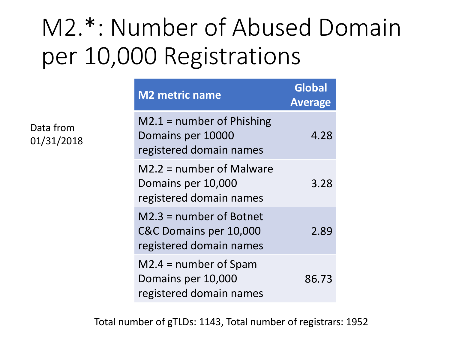# M2.\*: Number of Abused Domain per 10,000 Registrations

Data from 01/31/2018

| <b>M2 metric name</b>                                                        | <b>Global</b><br><b>Average</b> |
|------------------------------------------------------------------------------|---------------------------------|
| $M2.1$ = number of Phishing<br>Domains per 10000<br>registered domain names  | 4.28                            |
| $M2.2$ = number of Malware<br>Domains per 10,000<br>registered domain names  | 3.28                            |
| M2.3 = number of Botnet<br>C&C Domains per 10,000<br>registered domain names | 2.89                            |
| $M2.4$ = number of Spam<br>Domains per 10,000<br>registered domain names     | 86.73                           |

Total number of gTLDs: 1143, Total number of registrars: 1952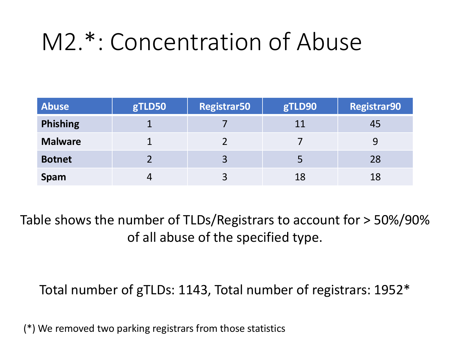# M2.\*: Concentration of Abuse

| <b>Abuse</b>    | gTLD50 | <b>Registrar50</b> | gTLD90 | <b>Registrar90</b> |
|-----------------|--------|--------------------|--------|--------------------|
| <b>Phishing</b> |        |                    | 11     | 45                 |
| <b>Malware</b>  |        |                    |        |                    |
| <b>Botnet</b>   |        |                    |        | -28                |
| <b>Spam</b>     |        |                    | 18     | 18                 |

Table shows the number of TLDs/Registrars to account for > 50%/90% of all abuse of the specified type.

Total number of gTLDs: 1143, Total number of registrars: 1952\*

(\*) We removed two parking registrars from those statistics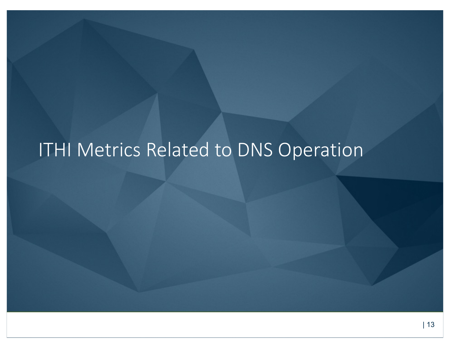## ITHI Metrics Related to DNS Operation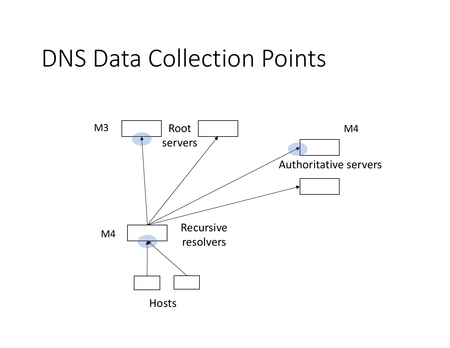## DNS Data Collection Points

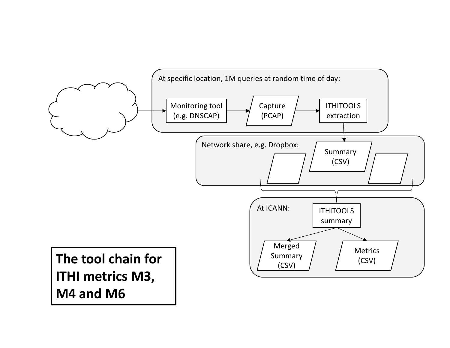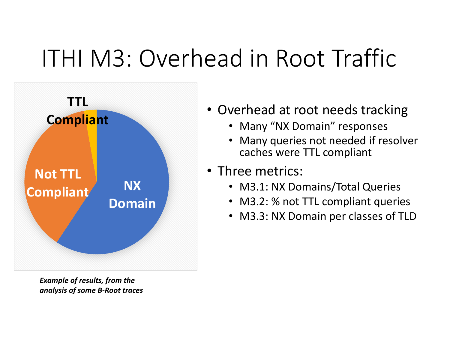# ITHI M3: Overhead in Root Traffic



*Example of results, from the analysis of some B-Root traces*

- Overhead at root needs tracking
	- Many "NX Domain" responses
	- Many queries not needed if resolver caches were TTL compliant
- Three metrics:
	- M3.1: NX Domains/Total Queries
	- M3.2: % not TTL compliant queries
	- M3.3: NX Domain per classes of TLD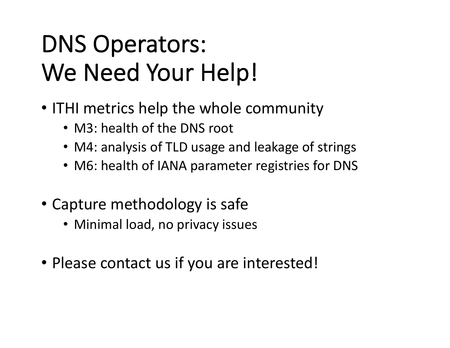# DNS Operators: We Need Your Help!

- ITHI metrics help the whole community
	- M3: health of the DNS root
	- M4: analysis of TLD usage and leakage of strings
	- M6: health of IANA parameter registries for DNS
- Capture methodology is safe
	- Minimal load, no privacy issues
- Please contact us if you are interested!